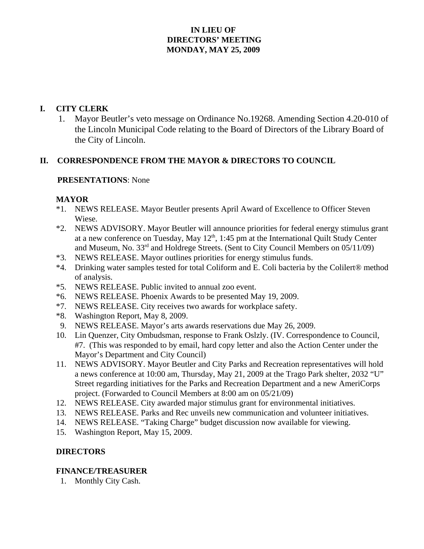# **IN LIEU OF DIRECTORS' MEETING MONDAY, MAY 25, 2009**

## **I. CITY CLERK**

 1. Mayor Beutler's veto message on Ordinance No.19268. Amending Section 4.20-010 of the Lincoln Municipal Code relating to the Board of Directors of the Library Board of the City of Lincoln.

### **II. CORRESPONDENCE FROM THE MAYOR & DIRECTORS TO COUNCIL**

#### **PRESENTATIONS**: None

#### **MAYOR**

- \*1. NEWS RELEASE. Mayor Beutler presents April Award of Excellence to Officer Steven Wiese.
- \*2. NEWS ADVISORY. Mayor Beutler will announce priorities for federal energy stimulus grant at a new conference on Tuesday, May  $12<sup>th</sup>$ , 1:45 pm at the International Quilt Study Center and Museum, No. 33<sup>rd</sup> and Holdrege Streets. (Sent to City Council Members on 05/11/09)
- \*3. NEWS RELEASE. Mayor outlines priorities for energy stimulus funds.
- \*4. Drinking water samples tested for total Coliform and E. Coli bacteria by the Colilert® method of analysis.
- \*5. NEWS RELEASE. Public invited to annual zoo event.
- \*6. NEWS RELEASE. Phoenix Awards to be presented May 19, 2009.
- \*7. NEWS RELEASE. City receives two awards for workplace safety.
- \*8. Washington Report, May 8, 2009.
- 9. NEWS RELEASE. Mayor's arts awards reservations due May 26, 2009.
- 10. Lin Quenzer, City Ombudsman, response to Frank Oslzly. (IV. Correspondence to Council, #7. (This was responded to by email, hard copy letter and also the Action Center under the Mayor's Department and City Council)
- 11. NEWS ADVISORY. Mayor Beutler and City Parks and Recreation representatives will hold a news conference at 10:00 am, Thursday, May 21, 2009 at the Trago Park shelter, 2032 "U" Street regarding initiatives for the Parks and Recreation Department and a new AmeriCorps project. (Forwarded to Council Members at 8:00 am on 05/21/09)
- 12. NEWS RELEASE. City awarded major stimulus grant for environmental initiatives.
- 13. NEWS RELEASE. Parks and Rec unveils new communication and volunteer initiatives.
- 14. NEWS RELEASE. "Taking Charge" budget discussion now available for viewing.
- 15. Washington Report, May 15, 2009.

### **DIRECTORS**

### **FINANCE/TREASURER**

1. Monthly City Cash.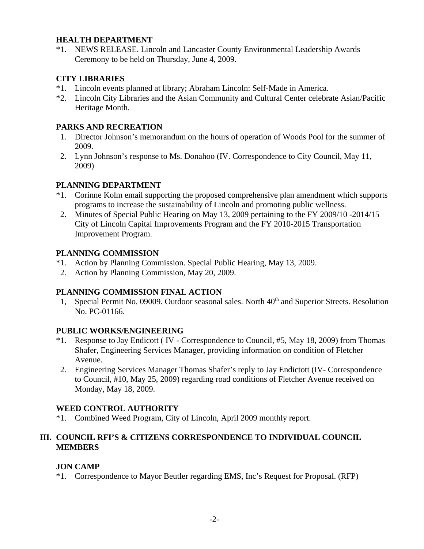## **HEALTH DEPARTMENT**

\*1. NEWS RELEASE. Lincoln and Lancaster County Environmental Leadership Awards Ceremony to be held on Thursday, June 4, 2009.

## **CITY LIBRARIES**

- \*1. Lincoln events planned at library; Abraham Lincoln: Self-Made in America.
- \*2. Lincoln City Libraries and the Asian Community and Cultural Center celebrate Asian/Pacific Heritage Month.

## **PARKS AND RECREATION**

- 1. Director Johnson's memorandum on the hours of operation of Woods Pool for the summer of 2009.
- 2. Lynn Johnson's response to Ms. Donahoo (IV. Correspondence to City Council, May 11, 2009)

## **PLANNING DEPARTMENT**

- \*1. Corinne Kolm email supporting the proposed comprehensive plan amendment which supports programs to increase the sustainability of Lincoln and promoting public wellness.
- 2. Minutes of Special Public Hearing on May 13, 2009 pertaining to the FY 2009/10 -2014/15 City of Lincoln Capital Improvements Program and the FY 2010-2015 Transportation Improvement Program.

### **PLANNING COMMISSION**

- \*1. Action by Planning Commission. Special Public Hearing, May 13, 2009.
- 2. Action by Planning Commission, May 20, 2009.

### **PLANNING COMMISSION FINAL ACTION**

1, Special Permit No. 09009. Outdoor seasonal sales. North 40<sup>th</sup> and Superior Streets. Resolution No. PC-01166.

### **PUBLIC WORKS/ENGINEERING**

- \*1. Response to Jay Endicott ( IV Correspondence to Council, #5, May 18, 2009) from Thomas Shafer, Engineering Services Manager, providing information on condition of Fletcher Avenue.
- 2. Engineering Services Manager Thomas Shafer's reply to Jay Endictott (IV- Correspondence to Council, #10, May 25, 2009) regarding road conditions of Fletcher Avenue received on Monday, May 18, 2009.

# **WEED CONTROL AUTHORITY**

\*1. Combined Weed Program, City of Lincoln, April 2009 monthly report.

### **III. COUNCIL RFI'S & CITIZENS CORRESPONDENCE TO INDIVIDUAL COUNCIL MEMBERS**

### **JON CAMP**

\*1. Correspondence to Mayor Beutler regarding EMS, Inc's Request for Proposal. (RFP)